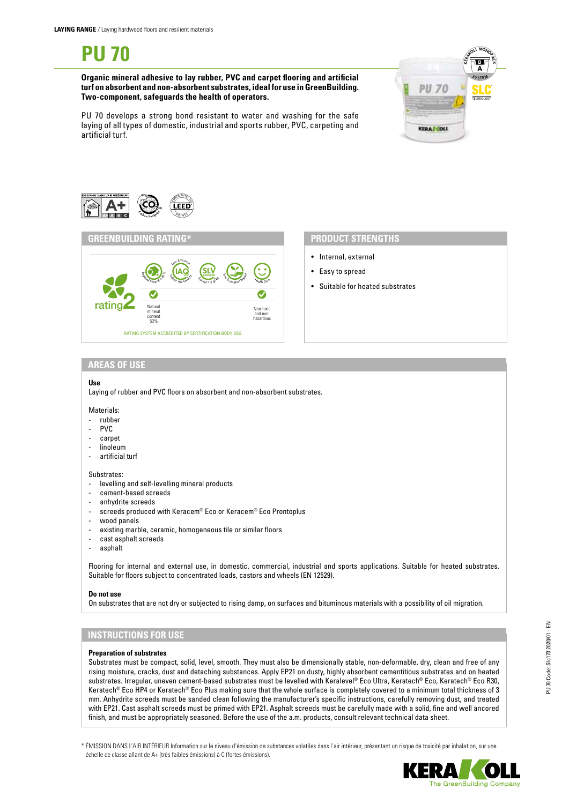**Organic mineral adhesive to lay rubber, PVC and carpet flooring and artificial turf on absorbent and non-absorbent substrates, ideal for use in GreenBuilding. Two-component, safeguards the health of operators.**



PU 70 develops a strong bond resistant to water and washing for the safe laying of all types of domestic, industrial and sports rubber, PVC, carpeting and artificial turf.



### **GREENBUILDING RATING®**



# **PRODUCT STRENGTHS**

- Internal, external
- Easy to spread
- Suitable for heated substrates

### **AREAS OF USE**

### **Use**

Laying of rubber and PVC floors on absorbent and non-absorbent substrates.

#### Materials:

- rubber
- PVC
- carpet
- linoleum<br>- artificial
- artificial turf

#### Substrates:

- levelling and self-levelling mineral products
- cement-based screeds
- anhydrite screeds
- screeds produced with Keracem® Eco or Keracem® Eco Prontoplus
- wood panels
- existing marble, ceramic, homogeneous tile or similar floors
- cast asphalt screeds
- asphalt

Flooring for internal and external use, in domestic, commercial, industrial and sports applications. Suitable for heated substrates. Suitable for floors subject to concentrated loads, castors and wheels (EN 12529).

#### **Do not use**

On substrates that are not dry or subjected to rising damp, on surfaces and bituminous materials with a possibility of oil migration.

### **INSTRUCTIONS FOR USE**

### **Preparation of substrates**

Substrates must be compact, solid, level, smooth. They must also be dimensionally stable, non-deformable, dry, clean and free of any rising moisture, cracks, dust and detaching substances. Apply EP21 on dusty, highly absorbent cementitious substrates and on heated substrates. Irregular, uneven cement-based substrates must be levelled with Keralevel® Eco Ultra, Keratech® Eco, Keratech® Eco R30, Keratech® Eco HP4 or Keratech® Eco Plus making sure that the whole surface is completely covered to a minimum total thickness of 3 mm. Anhydrite screeds must be sanded clean following the manufacturer's specific instructions, carefully removing dust, and treated with EP21. Cast asphalt screeds must be primed with EP21. Asphalt screeds must be carefully made with a solid, fine and well ancored finish, and must be appropriately seasoned. Before the use of the a.m. products, consult relevant technical data sheet.

\* ÉMISSION DANS L'AIR INTÉRIEUR Information sur le niveau d'émission de substances volatiles dans l'air intérieur, présentant un risque de toxicité par inhalation, sur une échelle de classe allant de A+ (très faibles émissions) à C (fortes émissions).

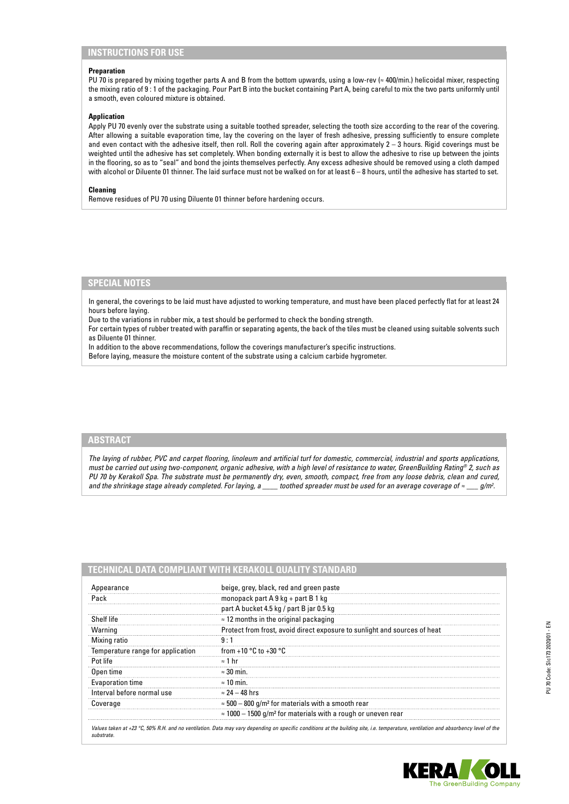# **INSTRUCTIONS FOR USE**

#### **Preparation**

PU 70 is prepared by mixing together parts A and B from the bottom upwards, using a low-rev (≈ 400/min.) helicoidal mixer, respecting the mixing ratio of 9 : 1 of the packaging. Pour Part B into the bucket containing Part A, being careful to mix the two parts uniformly until a smooth, even coloured mixture is obtained.

### **Application**

Apply PU 70 evenly over the substrate using a suitable toothed spreader, selecting the tooth size according to the rear of the covering. After allowing a suitable evaporation time, lay the covering on the layer of fresh adhesive, pressing sufficiently to ensure complete and even contact with the adhesive itself, then roll. Roll the covering again after approximately 2 – 3 hours. Rigid coverings must be weighted until the adhesive has set completely. When bonding externally it is best to allow the adhesive to rise up between the joints in the flooring, so as to "seal" and bond the joints themselves perfectly. Any excess adhesive should be removed using a cloth damped with alcohol or Diluente 01 thinner. The laid surface must not be walked on for at least 6 – 8 hours, until the adhesive has started to set.

#### **Cleaning**

Remove residues of PU 70 using Diluente 01 thinner before hardening occurs.

# **SPECIAL NOTES**

In general, the coverings to be laid must have adjusted to working temperature, and must have been placed perfectly flat for at least 24 hours before laying.

Due to the variations in rubber mix, a test should be performed to check the bonding strength.

For certain types of rubber treated with paraffin or separating agents, the back of the tiles must be cleaned using suitable solvents such as Diluente 01 thinner.

In addition to the above recommendations, follow the coverings manufacturer's specific instructions.

Before laying, measure the moisture content of the substrate using a calcium carbide hygrometer.

### **ABSTRACT**

*The laying of rubber, PVC and carpet flooring, linoleum and artificial turf for domestic, commercial, industrial and sports applications, must be carried out using two-component, organic adhesive, with a high level of resistance to water, GreenBuilding Rating® 2, such as PU 70 by Kerakoll Spa. The substrate must be permanently dry, even, smooth, compact, free from any loose debris, clean and cured, and the shrinkage stage already completed. For laying, a \_\_\_\_ toothed spreader must be used for an average coverage of ≈ \_\_\_ g/m2 .*

| TECHNICAL DATA COMPLIANT WITH KERAKOLL QUALITY STANDARD |                                                                                  |
|---------------------------------------------------------|----------------------------------------------------------------------------------|
| Appearance                                              | beige, grey, black, red and green paste                                          |
| Pack                                                    | monopack part $A$ 9 kg + part B 1 kg                                             |
|                                                         | part A bucket 4.5 kg / part B jar 0.5 kg                                         |
| Shelf life                                              | $\approx$ 12 months in the original packaging                                    |
| Warning                                                 | Protect from frost, avoid direct exposure to sunlight and sources of heat        |
| Mixing ratio                                            | 9:1                                                                              |
| Temperature range for application                       | from +10 $^{\circ}$ C to +30 $^{\circ}$ C                                        |
| Pot life                                                | $\approx$ 1 hr                                                                   |
| Open time                                               | $\approx$ 30 min.                                                                |
| Evaporation time                                        | $\approx$ 10 min.                                                                |
| Interval before normal use                              | $\approx$ 24 – 48 hrs                                                            |
| Coverage                                                | $\approx$ 500 – 800 g/m <sup>2</sup> for materials with a smooth rear            |
|                                                         | $\approx$ 1000 – 1500 g/m <sup>2</sup> for materials with a rough or uneven rear |

Values taken at +23 °C, 50% R.H. and no ventilation. Data may vary depending on specific conditions at the building site, i.e. temperature, ventilation and absorbency level of the *substrate.*